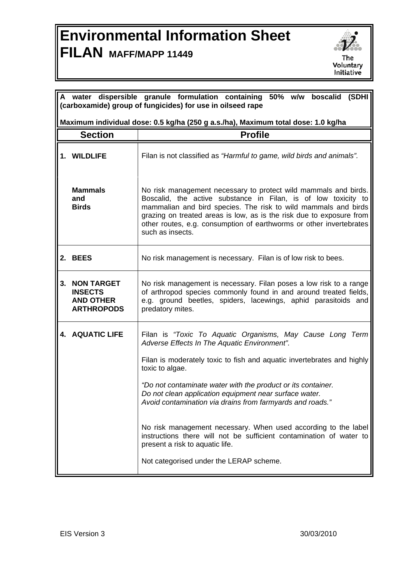## **Environmental Information Sheet FILAN MAFF/MAPP 11449**



| A water dispersible granule formulation containing 50% w/w boscalid (SDHI<br>(carboxamide) group of fungicides) for use in oilseed rape |                                                                                   |                                                                                                                                                                                                                                                                                                                                                                        |  |
|-----------------------------------------------------------------------------------------------------------------------------------------|-----------------------------------------------------------------------------------|------------------------------------------------------------------------------------------------------------------------------------------------------------------------------------------------------------------------------------------------------------------------------------------------------------------------------------------------------------------------|--|
|                                                                                                                                         | Maximum individual dose: 0.5 kg/ha (250 g a.s./ha), Maximum total dose: 1.0 kg/ha |                                                                                                                                                                                                                                                                                                                                                                        |  |
| <b>Section</b>                                                                                                                          |                                                                                   | <b>Profile</b>                                                                                                                                                                                                                                                                                                                                                         |  |
|                                                                                                                                         | 1. WILDLIFE                                                                       | Filan is not classified as "Harmful to game, wild birds and animals".                                                                                                                                                                                                                                                                                                  |  |
|                                                                                                                                         | <b>Mammals</b><br>and<br><b>Birds</b>                                             | No risk management necessary to protect wild mammals and birds.<br>Boscalid, the active substance in Filan, is of low toxicity to<br>mammalian and bird species. The risk to wild mammals and birds<br>grazing on treated areas is low, as is the risk due to exposure from<br>other routes, e.g. consumption of earthworms or other invertebrates<br>such as insects. |  |
|                                                                                                                                         | 2. BEES                                                                           | No risk management is necessary. Filan is of low risk to bees.                                                                                                                                                                                                                                                                                                         |  |
| 3.                                                                                                                                      | <b>NON TARGET</b><br><b>INSECTS</b><br><b>AND OTHER</b><br><b>ARTHROPODS</b>      | No risk management is necessary. Filan poses a low risk to a range<br>of arthropod species commonly found in and around treated fields,<br>e.g. ground beetles, spiders, lacewings, aphid parasitoids and<br>predatory mites.                                                                                                                                          |  |
|                                                                                                                                         | <b>4. AQUATIC LIFE</b>                                                            | Filan is "Toxic To Aquatic Organisms, May Cause Long Term<br>Adverse Effects In The Aquatic Environment".                                                                                                                                                                                                                                                              |  |
|                                                                                                                                         |                                                                                   | Filan is moderately toxic to fish and aquatic invertebrates and highly<br>toxic to algae.                                                                                                                                                                                                                                                                              |  |
|                                                                                                                                         |                                                                                   | "Do not contaminate water with the product or its container.<br>Do not clean application equipment near surface water.<br>Avoid contamination via drains from farmyards and roads."                                                                                                                                                                                    |  |
|                                                                                                                                         |                                                                                   | No risk management necessary. When used according to the label<br>instructions there will not be sufficient contamination of water to<br>present a risk to aquatic life.                                                                                                                                                                                               |  |
|                                                                                                                                         |                                                                                   | Not categorised under the LERAP scheme.                                                                                                                                                                                                                                                                                                                                |  |